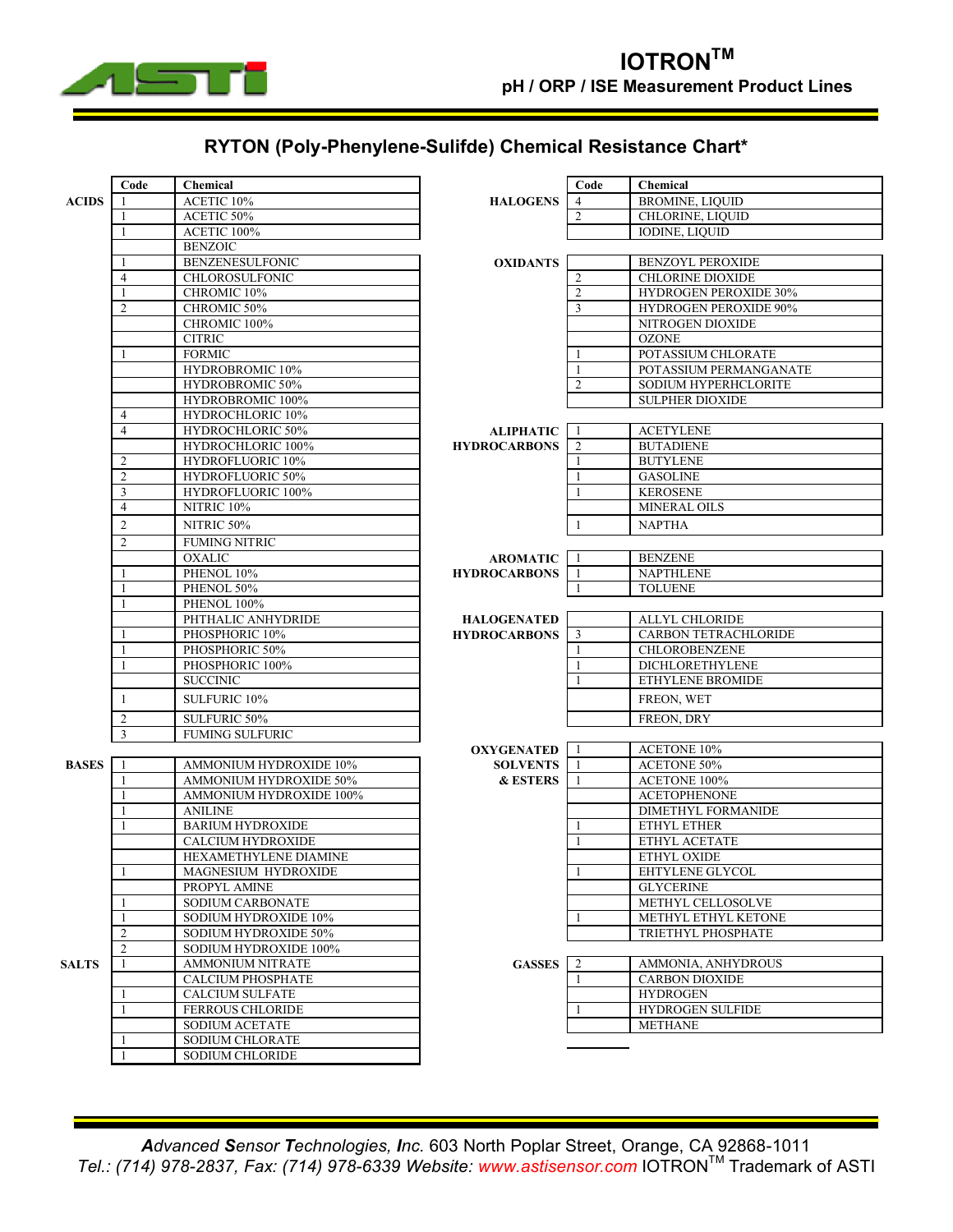

## **RYTON (Poly-Phenylene-Sulifde) Chemical Resistance Chart\***

|              | Code           | Chemical                 |                     | Code           | Chemical                     |
|--------------|----------------|--------------------------|---------------------|----------------|------------------------------|
| <b>ACIDS</b> |                | ACETIC 10%               | <b>HALOGENS</b>     | $\overline{4}$ | <b>BROMINE, LIQUID</b>       |
|              |                | ACETIC 50%               |                     | $\overline{c}$ | <b>CHLORINE, LIQUID</b>      |
|              | 1              | ACETIC 100%              |                     |                | <b>IODINE, LIQUID</b>        |
|              |                | <b>BENZOIC</b>           |                     |                |                              |
|              |                | <b>BENZENESULFONIC</b>   | <b>OXIDANTS</b>     |                | <b>BENZOYL PEROXIDE</b>      |
|              | $\overline{4}$ | <b>CHLOROSULFONIC</b>    |                     | 2              | <b>CHLORINE DIOXIDE</b>      |
|              | $\mathbf{1}$   | CHROMIC 10%              |                     | $\overline{2}$ | HYDROGEN PEROXIDE 30%        |
|              | $\overline{2}$ | CHROMIC 50%              |                     | 3              | <b>HYDROGEN PEROXIDE 90%</b> |
|              |                | CHROMIC 100%             |                     |                | NITROGEN DIOXIDE             |
|              |                | <b>CITRIC</b>            |                     |                | <b>OZONE</b>                 |
|              |                | <b>FORMIC</b>            |                     |                | POTASSIUM CHLORATE           |
|              |                | HYDROBROMIC 10%          |                     |                | POTASSIUM PERMANGANATE       |
|              |                | HYDROBROMIC 50%          |                     | $\overline{2}$ | SODIUM HYPERHCLORITE         |
|              |                | HYDROBROMIC 100%         |                     |                | <b>SULPHER DIOXIDE</b>       |
|              | $\overline{4}$ | HYDROCHLORIC 10%         |                     |                |                              |
|              | $\overline{4}$ | HYDROCHLORIC 50%         | <b>ALIPHATIC</b>    | -1             | <b>ACETYLENE</b>             |
|              |                | HYDROCHLORIC 100%        | <b>HYDROCARBONS</b> | 2              | <b>BUTADIENE</b>             |
|              | 2              | HYDROFLUORIC 10%         |                     |                | <b>BUTYLENE</b>              |
|              | $\overline{2}$ | HYDROFLUORIC 50%         |                     |                | <b>GASOLINE</b>              |
|              | 3              | <b>HYDROFLUORIC 100%</b> |                     |                | <b>KEROSENE</b>              |
|              | $\overline{4}$ | NITRIC <sub>10%</sub>    |                     |                | MINERAL OILS                 |
|              | $\overline{c}$ | NITRIC 50%               |                     | 1              | <b>NAPTHA</b>                |
|              | $\overline{2}$ | <b>FUMING NITRIC</b>     |                     |                |                              |
|              |                | <b>OXALIC</b>            | <b>AROMATIC</b>     |                | <b>BENZENE</b>               |
|              |                | PHENOL 10%               | <b>HYDROCARBONS</b> | -1             | <b>NAPTHLENE</b>             |
|              |                | PHENOL 50%               |                     | $\mathbf{1}$   | <b>TOLUENE</b>               |
|              | -1             | PHENOL 100%              |                     |                |                              |
|              |                | PHTHALIC ANHYDRIDE       | <b>HALOGENATED</b>  |                | <b>ALLYL CHLORIDE</b>        |
|              |                | PHOSPHORIC 10%           | <b>HYDROCARBONS</b> | 3              | <b>CARBON TETRACHLORIDE</b>  |
|              | -1             | PHOSPHORIC 50%           |                     |                | CHLOROBENZENE                |
|              |                | PHOSPHORIC 100%          |                     |                | <b>DICHLORETHYLENE</b>       |
|              |                | <b>SUCCINIC</b>          |                     |                | ETHYLENE BROMIDE             |
|              | 1              | SULFURIC 10%             |                     |                | FREON, WET                   |
|              | $\overline{2}$ | SULFURIC 50%             |                     |                | FREON, DRY                   |
|              | 3              | <b>FUMING SULFURIC</b>   |                     |                |                              |
|              |                |                          | <b>OXYGENATED</b>   | -1             | <b>ACETONE 10%</b>           |
| <b>BASES</b> |                | AMMONIUM HYDROXIDE 10%   | <b>SOLVENTS</b>     | -1             | <b>ACETONE 50%</b>           |
|              | -1             | AMMONIUM HYDROXIDE 50%   | <b>&amp; ESTERS</b> |                | ACETONE 100%                 |
|              |                | AMMONIUM HYDROXIDE 100%  |                     |                | <b>ACETOPHENONE</b>          |
|              |                | <b>ANILINE</b>           |                     |                | DIMETHYL FORMANIDE           |
|              |                | <b>BARIUM HYDROXIDE</b>  |                     |                | ETHYL ETHER                  |
|              |                | <b>CALCIUM HYDROXIDE</b> |                     |                | <b>ETHYL ACETATE</b>         |
|              |                | HEXAMETHYLENE DIAMINE    |                     |                | ETHYL OXIDE                  |
|              | $\mathbf{1}$   | MAGNESIUM HYDROXIDE      |                     | $\mathbf{1}$   | EHTYLENE GLYCOL              |
|              |                | PROPYL AMINE             |                     |                | <b>GLYCERINE</b>             |
|              | 1              | SODIUM CARBONATE         |                     |                | METHYL CELLOSOLVE            |
|              |                | SODIUM HYDROXIDE 10%     |                     |                | METHYL ETHYL KETONE          |
|              | $\overline{2}$ | SODIUM HYDROXIDE 50%     |                     |                | TRIETHYL PHOSPHATE           |
|              | $\overline{2}$ | SODIUM HYDROXIDE 100%    |                     |                |                              |
| <b>SALTS</b> | 1              | <b>AMMONIUM NITRATE</b>  | <b>GASSES</b>       | 2              | AMMONIA, ANHYDROUS           |
|              |                | <b>CALCIUM PHOSPHATE</b> |                     |                | <b>CARBON DIOXIDE</b>        |
|              |                | <b>CALCIUM SULFATE</b>   |                     |                | <b>HYDROGEN</b>              |
|              |                | <b>FERROUS CHLORIDE</b>  |                     |                | <b>HYDROGEN SULFIDE</b>      |
|              |                | SODIUM ACETATE           |                     |                | <b>METHANE</b>               |
|              |                | <b>SODIUM CHLORATE</b>   |                     |                |                              |
|              |                | <b>SODIUM CHLORIDE</b>   |                     |                |                              |